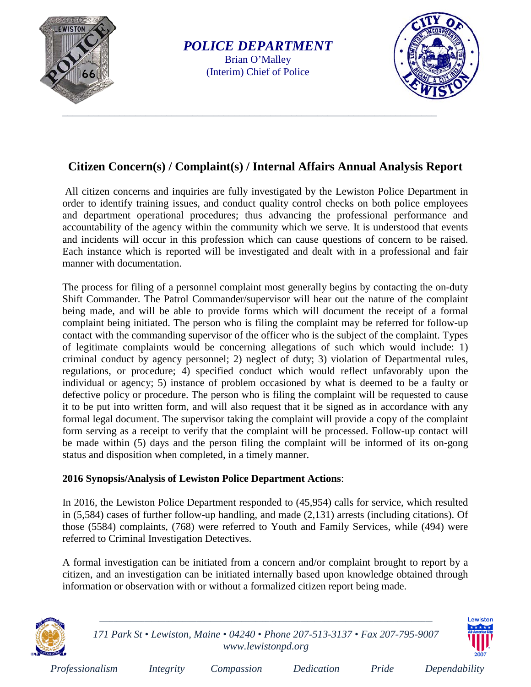

*POLICE DEPARTMENT* Brian O'Malley (Interim) Chief of Police



## **Citizen Concern(s) / Complaint(s) / Internal Affairs Annual Analysis Report**

All citizen concerns and inquiries are fully investigated by the Lewiston Police Department in order to identify training issues, and conduct quality control checks on both police employees and department operational procedures; thus advancing the professional performance and accountability of the agency within the community which we serve. It is understood that events and incidents will occur in this profession which can cause questions of concern to be raised. Each instance which is reported will be investigated and dealt with in a professional and fair manner with documentation.

The process for filing of a personnel complaint most generally begins by contacting the on-duty Shift Commander. The Patrol Commander/supervisor will hear out the nature of the complaint being made, and will be able to provide forms which will document the receipt of a formal complaint being initiated. The person who is filing the complaint may be referred for follow-up contact with the commanding supervisor of the officer who is the subject of the complaint. Types of legitimate complaints would be concerning allegations of such which would include: 1) criminal conduct by agency personnel; 2) neglect of duty; 3) violation of Departmental rules, regulations, or procedure; 4) specified conduct which would reflect unfavorably upon the individual or agency; 5) instance of problem occasioned by what is deemed to be a faulty or defective policy or procedure. The person who is filing the complaint will be requested to cause it to be put into written form, and will also request that it be signed as in accordance with any formal legal document. The supervisor taking the complaint will provide a copy of the complaint form serving as a receipt to verify that the complaint will be processed. Follow-up contact will be made within (5) days and the person filing the complaint will be informed of its on-gong status and disposition when completed, in a timely manner.

## **2016 Synopsis/Analysis of Lewiston Police Department Actions**:

In 2016, the Lewiston Police Department responded to (45,954) calls for service, which resulted in (5,584) cases of further follow-up handling, and made (2,131) arrests (including citations). Of those (5584) complaints, (768) were referred to Youth and Family Services, while (494) were referred to Criminal Investigation Detectives.

A formal investigation can be initiated from a concern and/or complaint brought to report by a citizen, and an investigation can be initiated internally based upon knowledge obtained through information or observation with or without a formalized citizen report being made.



*171 Park St • Lewiston, Maine • 04240 • Phone 207-513-3137 • Fax 207-795-9007 [www.lewistonpd.org](http://www.lewistonpd.org/)*

\_\_\_\_\_\_\_\_\_\_\_\_\_\_\_\_\_\_\_\_\_\_\_\_\_\_\_\_\_\_\_\_\_\_\_\_\_\_\_\_\_\_\_\_\_\_\_\_\_\_\_\_\_\_\_\_\_\_\_\_\_\_\_\_\_\_\_\_\_\_\_\_\_\_\_\_\_\_\_\_\_\_\_\_\_\_\_\_\_\_\_\_\_\_\_\_



| Professionalism | Integrity | Compassion | Dedication | Pride | Dependability |
|-----------------|-----------|------------|------------|-------|---------------|
|                 |           |            |            |       |               |